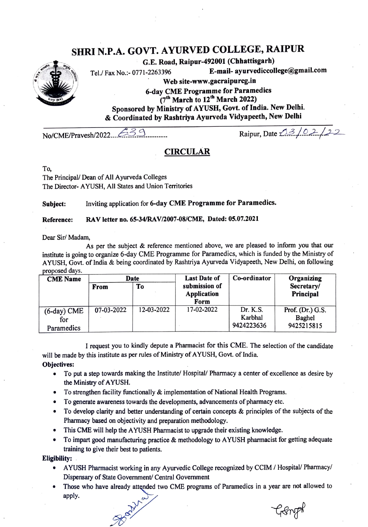# SHRI N.P.A. GOVT. AYURVED COLLEGE, RAIPUR

G.E. Road, Raipur-492001 (Chhattisgarh)

Tel./ Fax No.: 0771-2263396 E-mail- ayurvediccollege@gmail.com

Web site-www.gacraipurcg.in

6-day CME Programme for Paramedics  $(7<sup>th</sup>$  March to  $12<sup>th</sup>$  March 2022) Sponsored by Ministry of AYUSH, Govt. of India. New Delhi. & Coordinated by Rashtriya Ayurveda Vidyapeeth, New Delhi

 $No/CME/Pravesh/2022...$   $33.1$   $Rajpur, Date 23/021/22$ 

## CIRCULAR

To,

The Principal/ Dean of All Ayurveda Colleges The Director- AYUSH, All States and Union Territories

Subject: Inviting application for 6-day CME Programme for Paramedics.

#### Reference: RAV letter no. 65-34/RAV/2007-08/CME, Dated: 05.07.2021

Dear Sir/ Madam,

As per the subject & reference mentioned above, we are pleased to inform you that our institute is going to organize 6-day CME Programme for Paramedics, which is funded by the Ministry of AYUSH, Govt. of India & being coordinated by Rashtriya Ayurveda Vidyapeeth, New Delhi, on following proposed days.

| <b>CME</b> Name          | Date       |            | <b>Last Date of</b>          | Co-ordinator        | Organizing                   |
|--------------------------|------------|------------|------------------------------|---------------------|------------------------------|
|                          | From       | To         | submission of<br>Application |                     | Secretary/<br>Principal      |
|                          |            |            | Form                         |                     |                              |
| $(6$ -day $)$ CME<br>for | 07-03-2022 | 12-03-2022 | 17-02-2022                   | Dr. K.S.<br>Karbhal | Prof. $(Dr.)$ G.S.<br>Baghel |
| Paramedics               |            |            |                              | 9424223636          | 9425215815                   |

I request you to kindly depute a Pharmacist for this CME. The selection of the candidate will be made by this institute as per rules of Ministry of AYUSH, Govt. of India.

Objectives:

- To put a step towards making the Institute/ Hospital/ Pharmacy a center of excellence as desire by the Ministry of AYUSH.
- To strengthen facility functionally  $\&$  implementation of National Health Programs.
- To generate awareness towards the developments, advancements of pharmacy etc.
- To develop clarity and better understanding of certain concepts & principles of the subjects of the Pharmacy based on objectivity and preparation methodology.
- This CME will help the AYUSH Pharmacist to upgrade their existing knowledge.
- To impart good manufacturing practice & methodology to AYUSH pharmacist for getting adequate training to give their best to patients.

Eligibility:

- AYUSH Pharmacist working in any Ayurvedic College recognized by CCIM/ Hospital/ Pharmacy/ Dispensary of State Government/ Central Government
- Those who have already attended two CME programs of Paramedics in a year are not allowed to apply.

Genpt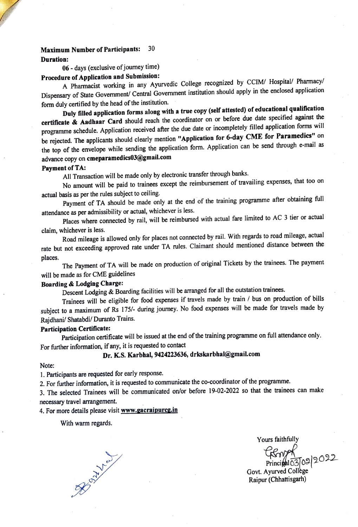#### Maximum Number of Participants: 30

Duration:

06-days (exclusive of journey time)

# Procedure of Application and Submission:

A Pharmacist working in any Ayurvedic College recognized by CCIM/ Hospital/ Pharmacy Dispensary of State Govermment/ Central Govenment institution should apply in the enclosed application form duly certified by the head of the institution.

Duly filled application forms along with a true copy (self attested) of educational qualification certificate & Aadhaar Card should reach the coordinator on or before due date specified against the programme schedule. Application received after the due date or incompletely filled application forms will be rejected. The applicants should clearly mention "Application for 6-day CME for Paramedics" on the top of the envelope while sending the application form. Application can be send through e-mail as advance copy on cmeparamedics03@gmail.com

#### Payment of TA:

All Transaction will be made only by electronic transfer through banks.

No amount will be paid to trainees except the reimbursement of travailing expenses, that too on actual basis as per the rules subject to ceiling.

Payment of TA should be made only at the end of the training programme after obtaining full attendance as per admissibility or actual, whichever is less.

Places where connected by rail, will be reimbursed with actual fare limited to AC 3 tier or actual claim, whichever is less.

Road mileage is allowed only for places not connected by rail. With regards to road mileage, actual rate but not exceeding approved rate under TA rules. Claimant should mentioned distance between the

places. The Payment of TA will be made on production of original Tickets by the trainees. The payment will be made as for CME guidelines

## Boarding & Lodging Charge:

Descent Lodging & Boarding facilities will be arranged for all the outstation trainees.

Trainees will be eligible for food expenses if travels made by train / bus on production of bills subject to a maximum of Rs 175/- during journey. No food expenses will be made for travels made by Rajdhani/ Shatabdi/ Duranto Trains.

#### Participation Certificate:

Participation certificate will be issued at the end of the training programme on full attendance only. For further information, if any, it is requested to contact

## Dr. KS. Karbhal, 9424223636, drkskarbhal@gmail.com

#### Note:

1. Participants are requested for early response.

2. For further information, it is requested to communicate the co-coordinator of the programme.

3. The selected Trainees will be communicated on/or before 19-02-2022 so that the trainees can make necessary travel arrangement.

## 4. For more details please visit www.gacraipurcg.in

#### With warm regards.

Yours faithfully  $Principal 03092022$ Govt. Ayurved College Raipur (Chhattisgarh)

Book of the